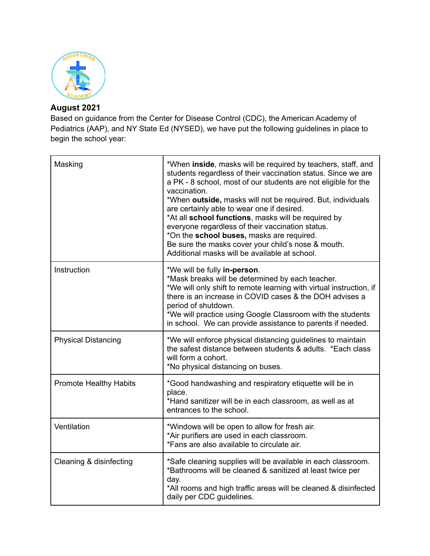

## **August 2021**

Based on guidance from the Center for Disease Control (CDC), the American Academy of Pediatrics (AAP), and NY State Ed (NYSED), we have put the following guidelines in place to begin the school year:

| Masking                       | *When inside, masks will be required by teachers, staff, and<br>students regardless of their vaccination status. Since we are<br>a PK - 8 school, most of our students are not eligible for the<br>vaccination.<br>*When outside, masks will not be required. But, individuals<br>are certainly able to wear one if desired.<br>*At all school functions, masks will be required by<br>everyone regardless of their vaccination status.<br>*On the school buses, masks are required.<br>Be sure the masks cover your child's nose & mouth.<br>Additional masks will be available at school. |
|-------------------------------|---------------------------------------------------------------------------------------------------------------------------------------------------------------------------------------------------------------------------------------------------------------------------------------------------------------------------------------------------------------------------------------------------------------------------------------------------------------------------------------------------------------------------------------------------------------------------------------------|
| Instruction                   | *We will be fully in-person.<br>*Mask breaks will be determined by each teacher.<br>*We will only shift to remote learning with virtual instruction, if<br>there is an increase in COVID cases & the DOH advises a<br>period of shutdown.<br>*We will practice using Google Classroom with the students<br>in school. We can provide assistance to parents if needed.                                                                                                                                                                                                                       |
| <b>Physical Distancing</b>    | *We will enforce physical distancing guidelines to maintain<br>the safest distance between students & adults. *Each class<br>will form a cohort.<br>*No physical distancing on buses.                                                                                                                                                                                                                                                                                                                                                                                                       |
| <b>Promote Healthy Habits</b> | *Good handwashing and respiratory etiquette will be in<br>place.<br>*Hand sanitizer will be in each classroom, as well as at<br>entrances to the school.                                                                                                                                                                                                                                                                                                                                                                                                                                    |
| Ventilation                   | *Windows will be open to allow for fresh air.<br>*Air purifiers are used in each classroom.<br>*Fans are also available to circulate air.                                                                                                                                                                                                                                                                                                                                                                                                                                                   |
| Cleaning & disinfecting       | *Safe cleaning supplies will be available in each classroom.<br>*Bathrooms will be cleaned & sanitized at least twice per<br>day.<br>*All rooms and high traffic areas will be cleaned & disinfected<br>daily per CDC guidelines.                                                                                                                                                                                                                                                                                                                                                           |